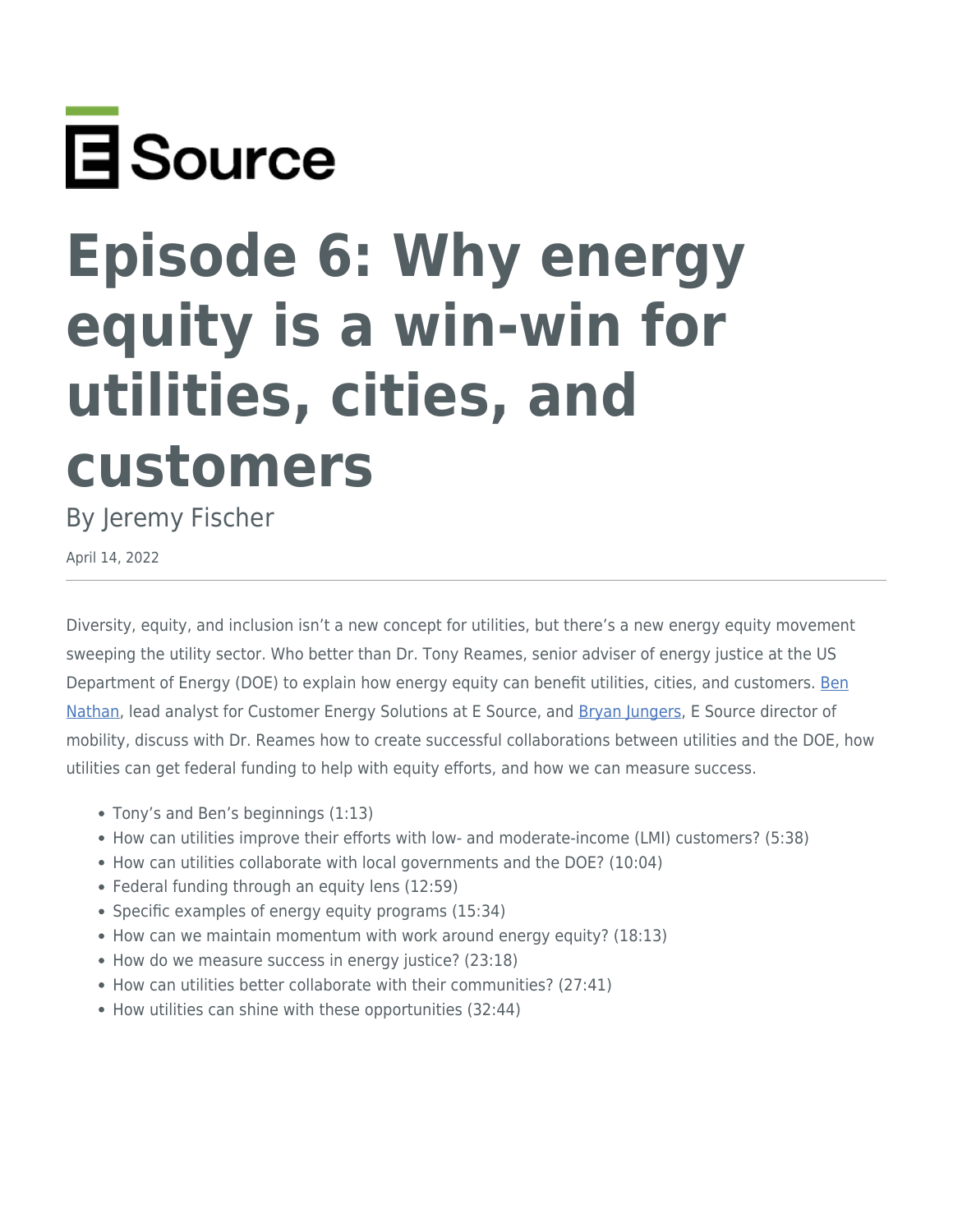

## **Episode 6: Why energy equity is a win-win for utilities, cities, and customers**

## By Jeremy Fischer

April 14, 2022

Diversity, equity, and inclusion isn't a new concept for utilities, but there's a new energy equity movement sweeping the utility sector. Who better than Dr. Tony Reames, senior adviser of energy justice at the US Department of Energy (DOE) to explain how energy equity can benefit utilities, cities, and customers. [Ben](https://www.esource.com/ben-nathan) [Nathan,](https://www.esource.com/ben-nathan) lead analyst for Customer Energy Solutions at E Source, and [Bryan Jungers,](https://www.esource.com/authors/bryan-jungers) E Source director of mobility, discuss with Dr. Reames how to create successful collaborations between utilities and the DOE, how utilities can get federal funding to help with equity efforts, and how we can measure success.

- Tony's and Ben's beginnings (1:13)
- How can utilities improve their efforts with low- and moderate-income (LMI) customers? (5:38)
- How can utilities collaborate with local governments and the DOE? (10:04)
- Federal funding through an equity lens (12:59)
- Specific examples of energy equity programs (15:34)
- How can we maintain momentum with work around energy equity? (18:13)
- How do we measure success in energy justice? (23:18)
- How can utilities better collaborate with their communities? (27:41)
- How utilities can shine with these opportunities (32:44)